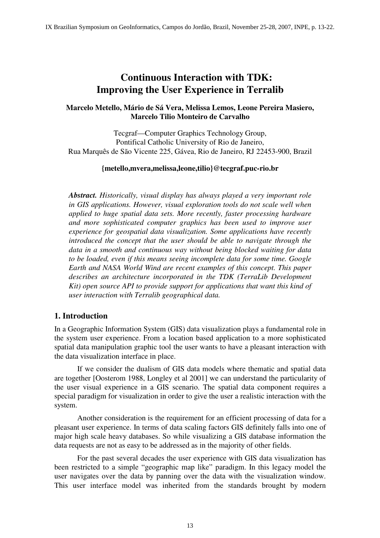# **Continuous Interaction with TDK: Improving the User Experience in Terralib**

#### **Marcelo Metello, Mário de Sá Vera, Melissa Lemos, Leone Pereira Masiero, Marcelo Tilio Monteiro de Carvalho**

Tecgraf—Computer Graphics Technology Group, Pontifical Catholic University of Rio de Janeiro, Rua Marquês de São Vicente 225, Gávea, Rio de Janeiro, RJ 22453-900, Brazil

#### **{metello,mvera,melissa,leone,tilio}@tecgraf.puc-rio.br**

*Abstract. Historically, visual display has always played a very important role in GIS applications. However, visual exploration tools do not scale well when applied to huge spatial data sets. More recently, faster processing hardware and more sophisticated computer graphics has been used to improve user experience for geospatial data visualization. Some applications have recently introduced the concept that the user should be able to navigate through the data in a smooth and continuous way without being blocked waiting for data to be loaded, even if this means seeing incomplete data for some time. Google Earth and NASA World Wind are recent examples of this concept. This paper describes an architecture incorporated in the TDK (TerraLib Development Kit) open source API to provide support for applications that want this kind of user interaction with Terralib geographical data.* 

## **1. Introduction**

In a Geographic Information System (GIS) data visualization plays a fundamental role in the system user experience. From a location based application to a more sophisticated spatial data manipulation graphic tool the user wants to have a pleasant interaction with the data visualization interface in place.

 If we consider the dualism of GIS data models where thematic and spatial data are together [Oosterom 1988, Longley et al 2001] we can understand the particularity of the user visual experience in a GIS scenario. The spatial data component requires a special paradigm for visualization in order to give the user a realistic interaction with the system.

 Another consideration is the requirement for an efficient processing of data for a pleasant user experience. In terms of data scaling factors GIS definitely falls into one of major high scale heavy databases. So while visualizing a GIS database information the data requests are not as easy to be addressed as in the majority of other fields.

 For the past several decades the user experience with GIS data visualization has been restricted to a simple "geographic map like" paradigm. In this legacy model the user navigates over the data by panning over the data with the visualization window. This user interface model was inherited from the standards brought by modern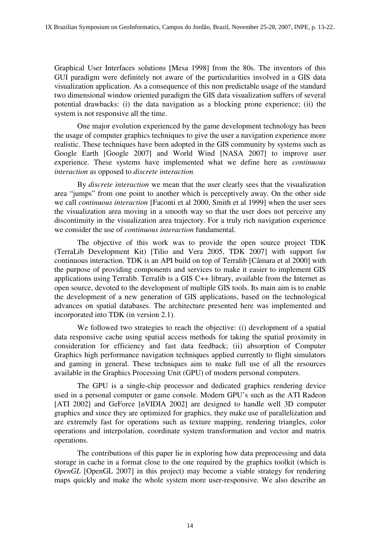Graphical User Interfaces solutions [Mesa 1998] from the 80s. The inventors of this GUI paradigm were definitely not aware of the particularities involved in a GIS data visualization application. As a consequence of this non predictable usage of the standard two dimensional window oriented paradigm the GIS data visualization suffers of several potential drawbacks: (i) the data navigation as a blocking prone experience; (ii) the system is not responsive all the time.

 One major evolution experienced by the game development technology has been the usage of computer graphics techniques to give the user a navigation experience more realistic. These techniques have been adopted in the GIS community by systems such as Google Earth [Google 2007] and World Wind [NASA 2007] to improve user experience. These systems have implemented what we define here as *continuous interaction* as opposed to *discrete interaction.*

 By *discrete interaction* we mean that the user clearly sees that the visualization area "jumps" from one point to another which is perceptively away. On the other side we call *continuous interaction* [Faconti et al 2000, Smith et al 1999] when the user sees the visualization area moving in a smooth way so that the user does not perceive any discontinuity in the visualization area trajectory. For a truly rich navigation experience we consider the use of *continuous interaction* fundamental.

 The objective of this work was to provide the open source project TDK (TerraLib Development Kit) [Tilio and Vera 2005, TDK 2007] with support for continuous interaction. TDK is an API build on top of Terralib [Câmara et al 2000] with the purpose of providing components and services to make it easier to implement GIS applications using Terralib. Terralib is a GIS C++ library, available from the Internet as open source, devoted to the development of multiple GIS tools. Its main aim is to enable the development of a new generation of GIS applications, based on the technological advances on spatial databases. The architecture presented here was implemented and incorporated into TDK (in version 2.1).

We followed two strategies to reach the objective: (i) development of a spatial data responsive cache using spatial access methods for taking the spatial proximity in consideration for efficiency and fast data feedback; (ii) absorption of Computer Graphics high performance navigation techniques applied currently to flight simulators and gaming in general. These techniques aim to make full use of all the resources available in the Graphics Processing Unit (GPU) of modern personal computers.

 The GPU is a single-chip processor and dedicated graphics rendering device used in a personal computer or game console. Modern GPU's such as the ATI Radeon [ATI 2002] and GeForce [nVIDIA 2002] are designed to handle well 3D computer graphics and since they are optimized for graphics, they make use of parallelization and are extremely fast for operations such as texture mapping, rendering triangles, color operations and interpolation, coordinate system transformation and vector and matrix operations.

 The contributions of this paper lie in exploring how data preprocessing and data storage in cache in a format close to the one required by the graphics toolkit (which is *OpenGL* [OpenGL 2007] in this project) may become a viable strategy for rendering maps quickly and make the whole system more user-responsive. We also describe an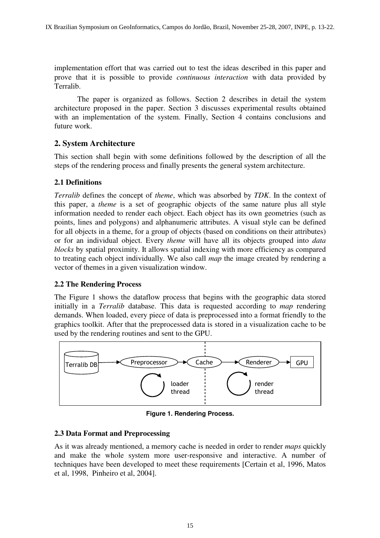implementation effort that was carried out to test the ideas described in this paper and prove that it is possible to provide *continuous interaction* with data provided by Terralib.

 The paper is organized as follows. Section 2 describes in detail the system architecture proposed in the paper. Section 3 discusses experimental results obtained with an implementation of the system. Finally, Section 4 contains conclusions and future work.

# **2. System Architecture**

This section shall begin with some definitions followed by the description of all the steps of the rendering process and finally presents the general system architecture.

# **2.1 Definitions**

*Terralib* defines the concept of *theme*, which was absorbed by *TDK*. In the context of this paper, a *theme* is a set of geographic objects of the same nature plus all style information needed to render each object. Each object has its own geometries (such as points, lines and polygons) and alphanumeric attributes. A visual style can be defined for all objects in a theme, for a group of objects (based on conditions on their attributes) or for an individual object. Every *theme* will have all its objects grouped into *data blocks* by spatial proximity. It allows spatial indexing with more efficiency as compared to treating each object individually. We also call *map* the image created by rendering a vector of themes in a given visualization window.

# **2.2 The Rendering Process**

The Figure 1 shows the dataflow process that begins with the geographic data stored initially in a *Terralib* database. This data is requested according to *map* rendering demands. When loaded, every piece of data is preprocessed into a format friendly to the graphics toolkit. After that the preprocessed data is stored in a visualization cache to be used by the rendering routines and sent to the GPU.



**Figure 1. Rendering Process.** 

## **2.3 Data Format and Preprocessing**

As it was already mentioned, a memory cache is needed in order to render *maps* quickly and make the whole system more user-responsive and interactive. A number of techniques have been developed to meet these requirements [Certain et al, 1996, Matos et al, 1998, Pinheiro et al, 2004].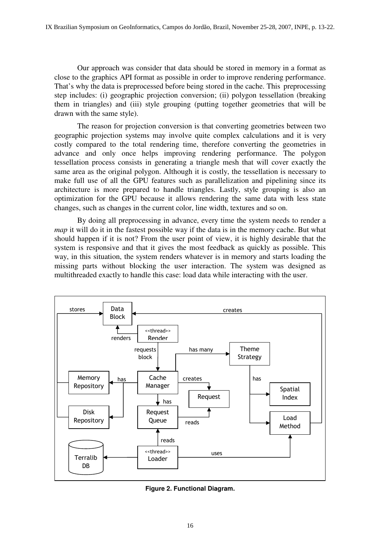Our approach was consider that data should be stored in memory in a format as close to the graphics API format as possible in order to improve rendering performance. That's why the data is preprocessed before being stored in the cache. This preprocessing step includes: (i) geographic projection conversion; (ii) polygon tessellation (breaking them in triangles) and (iii) style grouping (putting together geometries that will be drawn with the same style).

 The reason for projection conversion is that converting geometries between two geographic projection systems may involve quite complex calculations and it is very costly compared to the total rendering time, therefore converting the geometries in advance and only once helps improving rendering performance. The polygon tessellation process consists in generating a triangle mesh that will cover exactly the same area as the original polygon. Although it is costly, the tessellation is necessary to make full use of all the GPU features such as parallelization and pipelining since its architecture is more prepared to handle triangles. Lastly, style grouping is also an optimization for the GPU because it allows rendering the same data with less state changes, such as changes in the current color, line width, textures and so on.

 By doing all preprocessing in advance, every time the system needs to render a *map* it will do it in the fastest possible way if the data is in the memory cache. But what should happen if it is not? From the user point of view, it is highly desirable that the system is responsive and that it gives the most feedback as quickly as possible. This way, in this situation, the system renders whatever is in memory and starts loading the missing parts without blocking the user interaction. The system was designed as multithreaded exactly to handle this case: load data while interacting with the user.



**Figure 2. Functional Diagram.**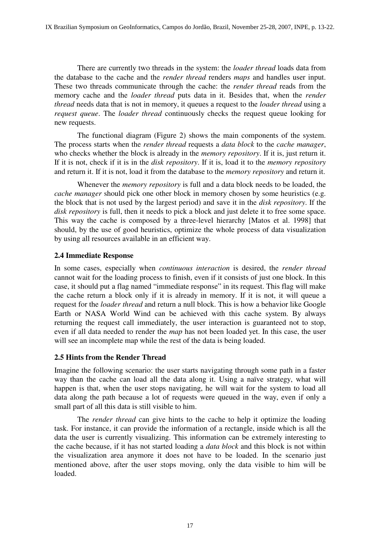There are currently two threads in the system: the *loader thread* loads data from the database to the cache and the *render thread* renders *maps* and handles user input. These two threads communicate through the cache: the *render thread* reads from the memory cache and the *loader thread* puts data in it. Besides that, when the *render thread* needs data that is not in memory, it queues a request to the *loader thread* using a *request queue*. The *loader thread* continuously checks the request queue looking for new requests.

 The functional diagram (Figure 2) shows the main components of the system. The process starts when the *render thread* requests a *data block* to the *cache manager*, who checks whether the block is already in the *memory repository*. If it is, just return it. If it is not, check if it is in the *disk repository*. If it is, load it to the *memory repository* and return it. If it is not, load it from the database to the *memory repository* and return it.

 Whenever the *memory repository* is full and a data block needs to be loaded, the *cache manager* should pick one other block in memory chosen by some heuristics (e.g. the block that is not used by the largest period) and save it in the *disk repository*. If the *disk repository* is full, then it needs to pick a block and just delete it to free some space. This way the cache is composed by a three-level hierarchy [Matos et al. 1998] that should, by the use of good heuristics, optimize the whole process of data visualization by using all resources available in an efficient way.

## **2.4 Immediate Response**

In some cases, especially when *continuous interaction* is desired, the *render thread* cannot wait for the loading process to finish, even if it consists of just one block. In this case, it should put a flag named "immediate response" in its request. This flag will make the cache return a block only if it is already in memory. If it is not, it will queue a request for the *loader thread* and return a null block. This is how a behavior like Google Earth or NASA World Wind can be achieved with this cache system. By always returning the request call immediately, the user interaction is guaranteed not to stop, even if all data needed to render the *map* has not been loaded yet. In this case, the user will see an incomplete map while the rest of the data is being loaded.

## **2.5 Hints from the Render Thread**

Imagine the following scenario: the user starts navigating through some path in a faster way than the cache can load all the data along it. Using a naïve strategy, what will happen is that, when the user stops navigating, he will wait for the system to load all data along the path because a lot of requests were queued in the way, even if only a small part of all this data is still visible to him.

 The *render thread* can give hints to the cache to help it optimize the loading task. For instance, it can provide the information of a rectangle, inside which is all the data the user is currently visualizing. This information can be extremely interesting to the cache because, if it has not started loading a *data block* and this block is not within the visualization area anymore it does not have to be loaded. In the scenario just mentioned above, after the user stops moving, only the data visible to him will be loaded.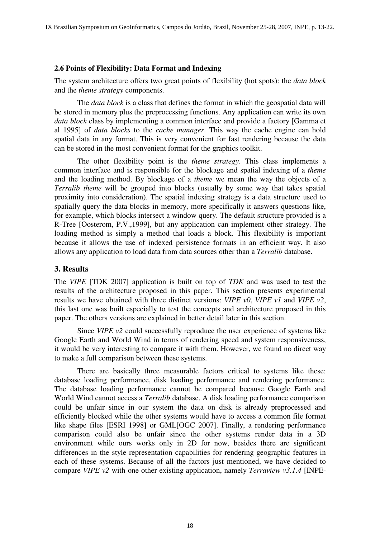#### **2.6 Points of Flexibility: Data Format and Indexing**

The system architecture offers two great points of flexibility (hot spots): the *data block* and the *theme strategy* components.

 The *data block* is a class that defines the format in which the geospatial data will be stored in memory plus the preprocessing functions. Any application can write its own *data block* class by implementing a common interface and provide a factory [Gamma et al 1995] of *data blocks* to the *cache manager*. This way the cache engine can hold spatial data in any format. This is very convenient for fast rendering because the data can be stored in the most convenient format for the graphics toolkit.

 The other flexibility point is the *theme strategy*. This class implements a common interface and is responsible for the blockage and spatial indexing of a *theme* and the loading method. By blockage of a *theme* we mean the way the objects of a *Terralib theme* will be grouped into blocks (usually by some way that takes spatial proximity into consideration). The spatial indexing strategy is a data structure used to spatially query the data blocks in memory, more specifically it answers questions like, for example, which blocks intersect a window query. The default structure provided is a R-Tree [Oosterom, P.V.,1999], but any application can implement other strategy. The loading method is simply a method that loads a block. This flexibility is important because it allows the use of indexed persistence formats in an efficient way. It also allows any application to load data from data sources other than a *Terralib* database.

#### **3. Results**

The *VIPE* [TDK 2007] application is built on top of *TDK* and was used to test the results of the architecture proposed in this paper. This section presents experimental results we have obtained with three distinct versions: *VIPE v0*, *VIPE v1* and *VIPE v2*, this last one was built especially to test the concepts and architecture proposed in this paper. The others versions are explained in better detail later in this section.

Since *VIPE v2* could successfully reproduce the user experience of systems like Google Earth and World Wind in terms of rendering speed and system responsiveness, it would be very interesting to compare it with them. However, we found no direct way to make a full comparison between these systems.

 There are basically three measurable factors critical to systems like these: database loading performance, disk loading performance and rendering performance. The database loading performance cannot be compared because Google Earth and World Wind cannot access a *Terralib* database. A disk loading performance comparison could be unfair since in our system the data on disk is already preprocessed and efficiently blocked while the other systems would have to access a common file format like shape files [ESRI 1998] or GML[OGC 2007]. Finally, a rendering performance comparison could also be unfair since the other systems render data in a 3D environment while ours works only in 2D for now, besides there are significant differences in the style representation capabilities for rendering geographic features in each of these systems. Because of all the factors just mentioned, we have decided to compare *VIPE v2* with one other existing application, namely *Terraview v3.1.4* [INPE-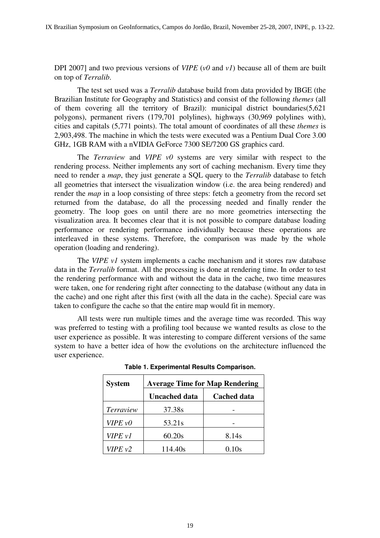DPI 2007] and two previous versions of *VIPE* (*v0* and *v1*) because all of them are built on top of *Terralib*.

 The test set used was a *Terralib* database build from data provided by IBGE (the Brazilian Institute for Geography and Statistics) and consist of the following *themes* (all of them covering all the territory of Brazil): municipal district boundaries(5,621 polygons), permanent rivers (179,701 polylines), highways (30,969 polylines with), cities and capitals (5,771 points). The total amount of coordinates of all these *themes* is 2,903,498. The machine in which the tests were executed was a Pentium Dual Core 3.00 GHz, 1GB RAM with a nVIDIA GeForce 7300 SE/7200 GS graphics card.

 The *Terraview* and *VIPE v0* systems are very similar with respect to the rendering process. Neither implements any sort of caching mechanism. Every time they need to render a *map*, they just generate a SQL query to the *Terralib* database to fetch all geometries that intersect the visualization window (i.e. the area being rendered) and render the *map* in a loop consisting of three steps: fetch a geometry from the record set returned from the database, do all the processing needed and finally render the geometry. The loop goes on until there are no more geometries intersecting the visualization area. It becomes clear that it is not possible to compare database loading performance or rendering performance individually because these operations are interleaved in these systems. Therefore, the comparison was made by the whole operation (loading and rendering).

The *VIPE v1* system implements a cache mechanism and it stores raw database data in the *Terralib* format. All the processing is done at rendering time. In order to test the rendering performance with and without the data in the cache, two time measures were taken, one for rendering right after connecting to the database (without any data in the cache) and one right after this first (with all the data in the cache). Special care was taken to configure the cache so that the entire map would fit in memory.

 All tests were run multiple times and the average time was recorded. This way was preferred to testing with a profiling tool because we wanted results as close to the user experience as possible. It was interesting to compare different versions of the same system to have a better idea of how the evolutions on the architecture influenced the user experience.

| <b>System</b> | <b>Average Time for Map Rendering</b> |                    |
|---------------|---------------------------------------|--------------------|
|               | <b>Uncached data</b>                  | <b>Cached data</b> |
| Terraview     | 37.38s                                |                    |
| $VIPE$ $vO$   | 53.21s                                |                    |
| VIPE v1       | 60.20s                                | 8.14s              |
| V I P E v 2   | 114.40s                               | 0.10s              |

**Table 1. Experimental Results Comparison.**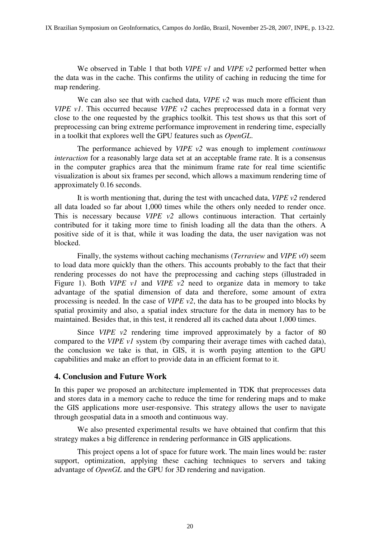We observed in Table 1 that both *VIPE v1* and *VIPE v2* performed better when the data was in the cache. This confirms the utility of caching in reducing the time for map rendering.

We can also see that with cached data, *VIPE v2* was much more efficient than *VIPE v1*. This occurred because *VIPE v2* caches preprocessed data in a format very close to the one requested by the graphics toolkit. This test shows us that this sort of preprocessing can bring extreme performance improvement in rendering time, especially in a toolkit that explores well the GPU features such as *OpenGL*.

 The performance achieved by *VIPE v2* was enough to implement *continuous interaction* for a reasonably large data set at an acceptable frame rate. It is a consensus in the computer graphics area that the minimum frame rate for real time scientific visualization is about six frames per second, which allows a maximum rendering time of approximately 0.16 seconds.

 It is worth mentioning that, during the test with uncached data, *VIPE v2* rendered all data loaded so far about 1,000 times while the others only needed to render once. This is necessary because *VIPE v2* allows continuous interaction. That certainly contributed for it taking more time to finish loading all the data than the others. A positive side of it is that, while it was loading the data, the user navigation was not blocked.

 Finally, the systems without caching mechanisms (*Terraview* and *VIPE v0*) seem to load data more quickly than the others. This accounts probably to the fact that their rendering processes do not have the preprocessing and caching steps (illustraded in Figure 1). Both *VIPE v1* and *VIPE v2* need to organize data in memory to take advantage of the spatial dimension of data and therefore, some amount of extra processing is needed. In the case of *VIPE v2*, the data has to be grouped into blocks by spatial proximity and also, a spatial index structure for the data in memory has to be maintained. Besides that, in this test, it rendered all its cached data about 1,000 times.

Since *VIPE*  $v^2$  rendering time improved approximately by a factor of 80 compared to the *VIPE v1* system (by comparing their average times with cached data), the conclusion we take is that, in GIS, it is worth paying attention to the GPU capabilities and make an effort to provide data in an efficient format to it.

## **4. Conclusion and Future Work**

In this paper we proposed an architecture implemented in TDK that preprocesses data and stores data in a memory cache to reduce the time for rendering maps and to make the GIS applications more user-responsive. This strategy allows the user to navigate through geospatial data in a smooth and continuous way.

 We also presented experimental results we have obtained that confirm that this strategy makes a big difference in rendering performance in GIS applications.

 This project opens a lot of space for future work. The main lines would be: raster support, optimization, applying these caching techniques to servers and taking advantage of *OpenGL* and the GPU for 3D rendering and navigation.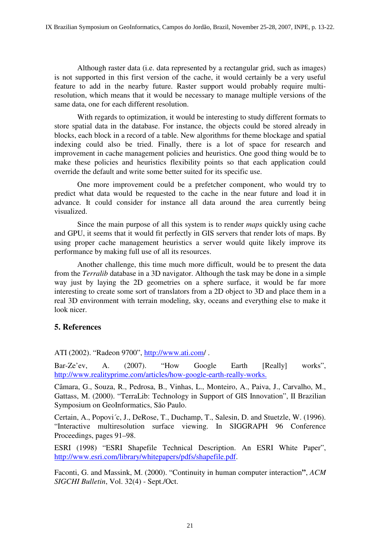Although raster data (i.e. data represented by a rectangular grid, such as images) is not supported in this first version of the cache, it would certainly be a very useful feature to add in the nearby future. Raster support would probably require multiresolution, which means that it would be necessary to manage multiple versions of the same data, one for each different resolution.

 With regards to optimization, it would be interesting to study different formats to store spatial data in the database. For instance, the objects could be stored already in blocks, each block in a record of a table. New algorithms for theme blockage and spatial indexing could also be tried. Finally, there is a lot of space for research and improvement in cache management policies and heuristics. One good thing would be to make these policies and heuristics flexibility points so that each application could override the default and write some better suited for its specific use.

 One more improvement could be a prefetcher component, who would try to predict what data would be requested to the cache in the near future and load it in advance. It could consider for instance all data around the area currently being visualized.

 Since the main purpose of all this system is to render *maps* quickly using cache and GPU, it seems that it would fit perfectly in GIS servers that render lots of maps. By using proper cache management heuristics a server would quite likely improve its performance by making full use of all its resources.

 Another challenge, this time much more difficult, would be to present the data from the *Terralib* database in a 3D navigator. Although the task may be done in a simple way just by laying the 2D geometries on a sphere surface, it would be far more interesting to create some sort of translators from a 2D object to 3D and place them in a real 3D environment with terrain modeling, sky, oceans and everything else to make it look nicer.

# **5. References**

ATI (2002). "Radeon 9700", http://www.ati.com/ .

Bar-Ze'ev, A. (2007). "How Google Earth [Really] works", http://www.realityprime.com/articles/how-google-earth-really-works.

Câmara, G., Souza, R., Pedrosa, B., Vinhas, L., Monteiro, A., Paiva, J., Carvalho, M., Gattass, M. (2000). "TerraLib: Technology in Support of GIS Innovation", II Brazilian Symposium on GeoInformatics, São Paulo.

Certain, A., Popovi´c, J., DeRose, T., Duchamp, T., Salesin, D. and Stuetzle, W. (1996). "Interactive multiresolution surface viewing. In SIGGRAPH 96 Conference Proceedings, pages 91–98.

ESRI (1998) "ESRI Shapefile Technical Description. An ESRI White Paper", http://www.esri.com/library/whitepapers/pdfs/shapefile.pdf.

Faconti, G. and Massink, M. (2000). "Continuity in human computer interaction**"**, *ACM SIGCHI Bulletin*, Vol. 32(4) - Sept./Oct.